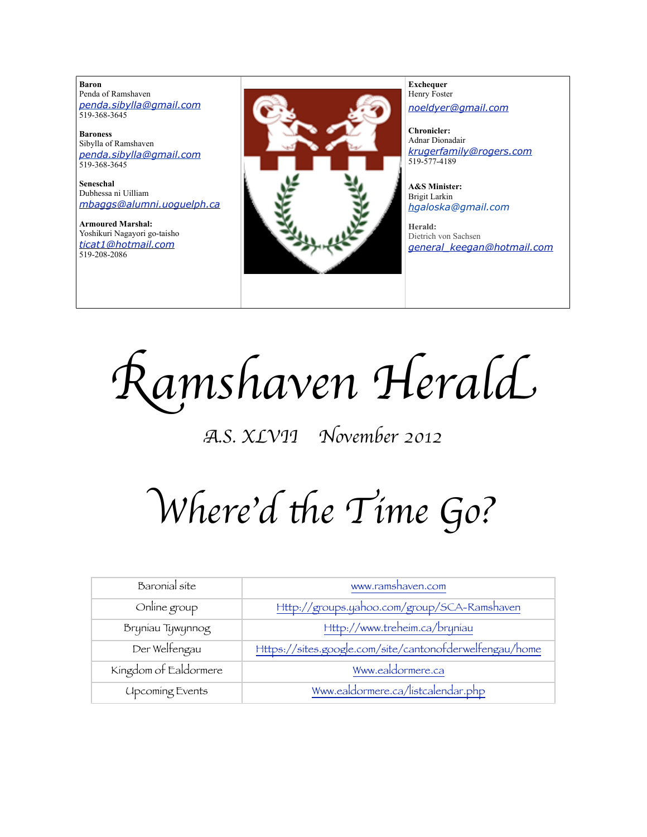**Baron**  Penda of Ramshaven *[penda.sibylla@gmail.com](mailto:penda.sibylla@gmail.com)* 519-368-3645

**Baroness** Sibylla of Ramshaven *[penda.sibylla@gmail.com](mailto:penda.sibylla@gmail.com)* 519-368-3645

**Seneschal** Dubhessa ni Uilliam *[mbaggs@alumni.uoguelph.ca](mailto:patchett@sympatico.ca)*

**Armoured Marshal:** Yoshikuri Nagayori go-taisho *[ticat1@hotmail.com](mailto:ticat1@hotmail.com)* 519-208-2086



**Exchequer** Henry Foster *[noeldyer@gmail.com](mailto:noeldyer@gmail.com)*

**Chronicler:** Adnar Dionadair *[krugerfamily@rogers.com](mailto:erhardkruger@gmail.com)* 519-577-4189

**A&S Minister:** Brigit Larkin *hgaloska@gmail.com*

**Herald:** Dietrich von Sachsen *[general\\_keegan@hotmail.com](mailto:general_keegan@hotmail.com)*

R*amshaven Heral*d

A*.S. XLVII November 2012*

Where'd the Time Go?

| Baronial site          | www.ramshaven.com                                       |
|------------------------|---------------------------------------------------------|
| Online group           | Http://groups.yahoo.com/group/SCA-Ramshaven             |
| Bryniau Tywynnog       | Http://www.treheim.ca/bryniau                           |
| Der Welfengau          | Https://sites.google.com/site/cantonofderwelfengau/home |
| Kingdom of Ealdormere  | Www.ealdormere.ca                                       |
| <b>Upcoming Events</b> | Www.ealdormere.ca/listcalendar.php                      |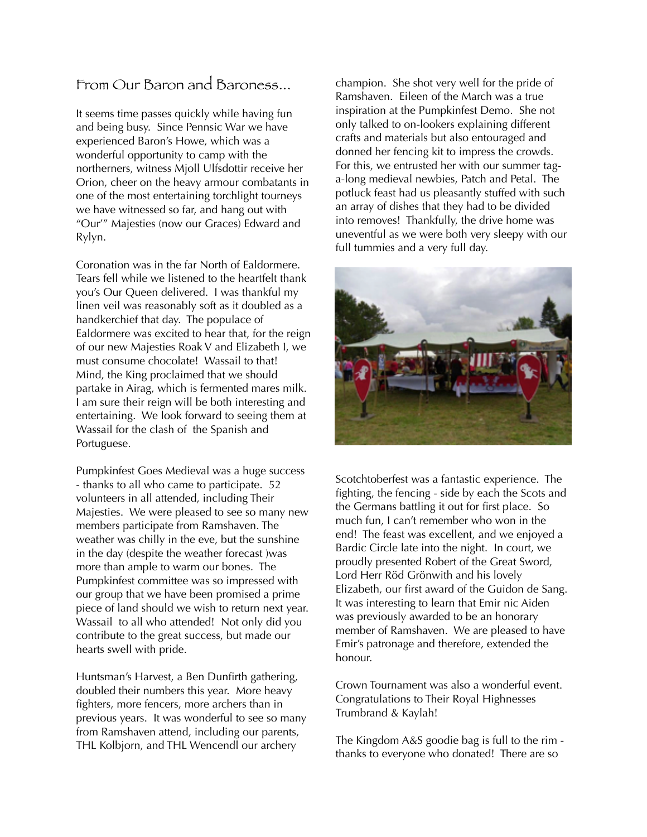### From Our Baron and Baroness...

It seems time passes quickly while having fun and being busy. Since Pennsic War we have experienced Baron's Howe, which was a wonderful opportunity to camp with the northerners, witness Mjoll Ulfsdottir receive her Orion, cheer on the heavy armour combatants in one of the most entertaining torchlight tourneys we have witnessed so far, and hang out with "Our'" Majesties (now our Graces) Edward and Rylyn.

Coronation was in the far North of Ealdormere. Tears fell while we listened to the heartfelt thank you's Our Queen delivered. I was thankful my linen veil was reasonably soft as it doubled as a handkerchief that day. The populace of Ealdormere was excited to hear that, for the reign of our new Majesties Roak V and Elizabeth I, we must consume chocolate! Wassail to that! Mind, the King proclaimed that we should partake in Airag, which is fermented mares milk. I am sure their reign will be both interesting and entertaining. We look forward to seeing them at Wassail for the clash of the Spanish and Portuguese.

Pumpkinfest Goes Medieval was a huge success - thanks to all who came to participate. 52 volunteers in all attended, including Their Majesties. We were pleased to see so many new members participate from Ramshaven. The weather was chilly in the eve, but the sunshine in the day (despite the weather forecast )was more than ample to warm our bones. The Pumpkinfest committee was so impressed with our group that we have been promised a prime piece of land should we wish to return next year. Wassail to all who attended! Not only did you contribute to the great success, but made our hearts swell with pride.

Huntsman's Harvest, a Ben Dunfirth gathering, doubled their numbers this year. More heavy fighters, more fencers, more archers than in previous years. It was wonderful to see so many from Ramshaven attend, including our parents, THL Kolbjorn, and THL Wencendl our archery

champion. She shot very well for the pride of Ramshaven. Eileen of the March was a true inspiration at the Pumpkinfest Demo. She not only talked to on-lookers explaining different crafts and materials but also entouraged and donned her fencing kit to impress the crowds. For this, we entrusted her with our summer taga-long medieval newbies, Patch and Petal. The potluck feast had us pleasantly stuffed with such an array of dishes that they had to be divided into removes! Thankfully, the drive home was uneventful as we were both very sleepy with our full tummies and a very full day.



Scotchtoberfest was a fantastic experience. The fighting, the fencing - side by each the Scots and the Germans battling it out for first place. So much fun, I can't remember who won in the end! The feast was excellent, and we enjoyed a Bardic Circle late into the night. In court, we proudly presented Robert of the Great Sword, Lord Herr Röd Grönwith and his lovely Elizabeth, our first award of the Guidon de Sang. It was interesting to learn that Emir nic Aiden was previously awarded to be an honorary member of Ramshaven. We are pleased to have Emir's patronage and therefore, extended the honour.

Crown Tournament was also a wonderful event. Congratulations to Their Royal Highnesses Trumbrand & Kaylah!

The Kingdom A&S goodie bag is full to the rim thanks to everyone who donated! There are so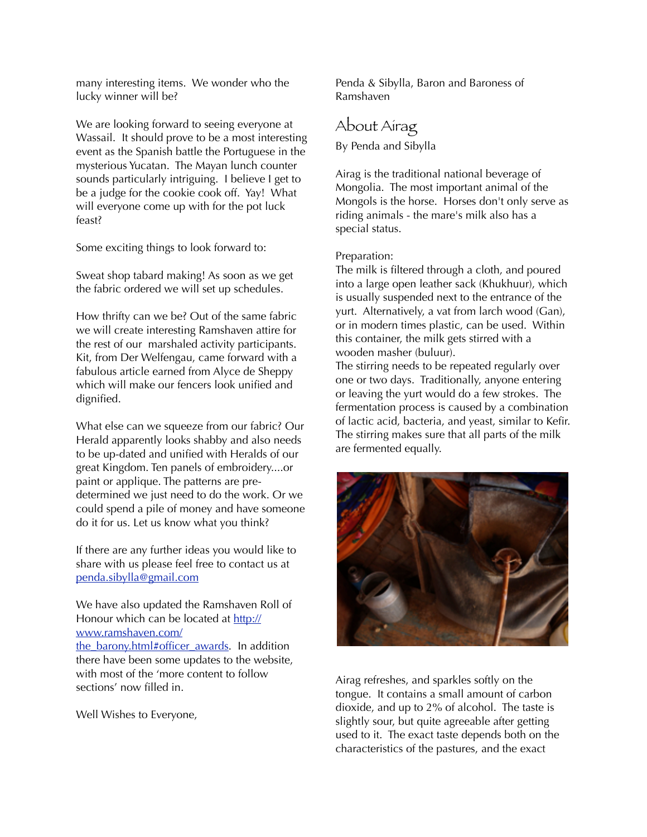many interesting items. We wonder who the lucky winner will be?

We are looking forward to seeing everyone at Wassail. It should prove to be a most interesting event as the Spanish battle the Portuguese in the mysterious Yucatan. The Mayan lunch counter sounds particularly intriguing. I believe I get to be a judge for the cookie cook off. Yay! What will everyone come up with for the pot luck feast?

Some exciting things to look forward to:

Sweat shop tabard making! As soon as we get the fabric ordered we will set up schedules.

How thrifty can we be? Out of the same fabric we will create interesting Ramshaven attire for the rest of our marshaled activity participants. Kit, from Der Welfengau, came forward with a fabulous article earned from Alyce de Sheppy which will make our fencers look unified and dignified.

What else can we squeeze from our fabric? Our Herald apparently looks shabby and also needs to be up-dated and unified with Heralds of our great Kingdom. Ten panels of embroidery....or paint or applique. The patterns are predetermined we just need to do the work. Or we could spend a pile of money and have someone do it for us. Let us know what you think?

If there are any further ideas you would like to share with us please feel free to contact us at [penda.sibylla@gmail.com](mailto:penda.sibylla@gmail.com)

We have also updated the Ramshaven Roll of Honour which can be located at [http://](http://www.ramshaven.com/the_barony.html#officer_awards) [www.ramshaven.com/](http://www.ramshaven.com/the_barony.html#officer_awards) the barony.html#officer\_awards. In addition there have been some updates to the website, with most of the 'more content to follow sections' now filled in.

Well Wishes to Everyone,

Penda & Sibylla, Baron and Baroness of Ramshaven

### About Airag

By Penda and Sibylla

Airag is the traditional national beverage of Mongolia. The most important animal of the Mongols is the horse. Horses don't only serve as riding animals - the mare's milk also has a special status.

#### Preparation:

The milk is filtered through a cloth, and poured into a large open leather sack (Khukhuur), which is usually suspended next to the entrance of the yurt. Alternatively, a vat from larch wood (Gan), or in modern times plastic, can be used. Within this container, the milk gets stirred with a wooden masher (buluur).

The stirring needs to be repeated regularly over one or two days. Traditionally, anyone entering or leaving the yurt would do a few strokes. The fermentation process is caused by a combination of lactic acid, bacteria, and yeast, similar to Kefir. The stirring makes sure that all parts of the milk are fermented equally.



Airag refreshes, and sparkles softly on the tongue. It contains a small amount of carbon dioxide, and up to 2% of alcohol. The taste is slightly sour, but quite agreeable after getting used to it. The exact taste depends both on the characteristics of the pastures, and the exact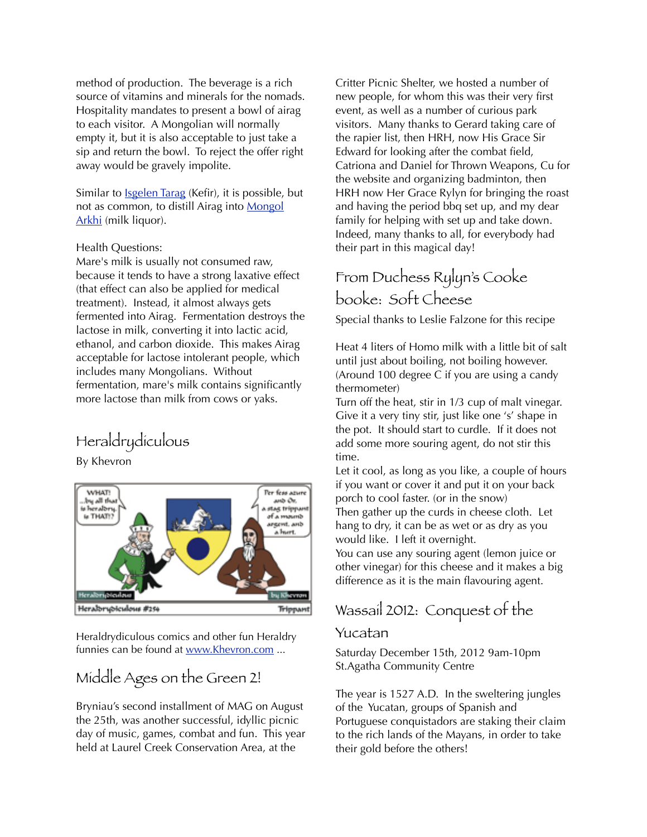method of production. The beverage is a rich source of vitamins and minerals for the nomads. Hospitality mandates to present a bowl of airag to each visitor. A Mongolian will normally empty it, but it is also acceptable to just take a sip and return the bowl. To reject the offer right away would be gravely impolite.

Similar to [Isgelen Tarag](http://www.mongolfood.info/en/recipes/isgelen-tarag.html) (Kefir), it is possible, but not as common, to distill Airag into [Mongol](http://www.mongolfood.info/en/recipes/mongol-arkhi.html)  [Arkhi](http://www.mongolfood.info/en/recipes/mongol-arkhi.html) (milk liquor).

#### Health Questions:

Mare's milk is usually not consumed raw, because it tends to have a strong laxative effect (that effect can also be applied for medical treatment). Instead, it almost always gets fermented into Airag. Fermentation destroys the lactose in milk, converting it into lactic acid, ethanol, and carbon dioxide. This makes Airag acceptable for lactose intolerant people, which includes many Mongolians. Without fermentation, mare's milk contains significantly more lactose than milk from cows or yaks.

# Heraldrydiculous

By Khevron



Heraldrydiculous comics and other fun Heraldry funnies can be found at [www.Khevron.com](http://www.Khevron.com) ...

### Middle Ages on the Green 2!

Bryniau's second installment of MAG on August the 25th, was another successful, idyllic picnic day of music, games, combat and fun. This year held at Laurel Creek Conservation Area, at the

Critter Picnic Shelter, we hosted a number of new people, for whom this was their very first event, as well as a number of curious park visitors. Many thanks to Gerard taking care of the rapier list, then HRH, now His Grace Sir Edward for looking after the combat field, Catriona and Daniel for Thrown Weapons, Cu for the website and organizing badminton, then HRH now Her Grace Rylyn for bringing the roast and having the period bbq set up, and my dear family for helping with set up and take down. Indeed, many thanks to all, for everybody had their part in this magical day!

## From Duchess Rylyn's Cooke booke: Soft Cheese

Special thanks to Leslie Falzone for this recipe

Heat 4 liters of Homo milk with a little bit of salt until just about boiling, not boiling however. (Around 100 degree C if you are using a candy thermometer)

Turn off the heat, stir in 1/3 cup of malt vinegar. Give it a very tiny stir, just like one 's' shape in the pot. It should start to curdle. If it does not add some more souring agent, do not stir this time.

Let it cool, as long as you like, a couple of hours if you want or cover it and put it on your back porch to cool faster. (or in the snow) Then gather up the curds in cheese cloth. Let hang to dry, it can be as wet or as dry as you would like. I left it overnight.

You can use any souring agent (lemon juice or other vinegar) for this cheese and it makes a big difference as it is the main flavouring agent.

### Wassail 2012: Conquest of the

### Yucatan

Saturday December 15th, 2012 9am-10pm St.Agatha Community Centre

The year is 1527 A.D. In the sweltering jungles of the Yucatan, groups of Spanish and Portuguese conquistadors are staking their claim to the rich lands of the Mayans, in order to take their gold before the others!